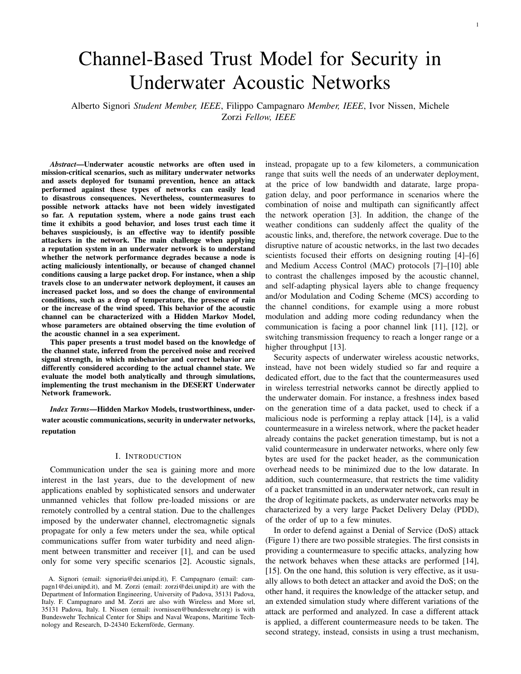# Channel-Based Trust Model for Security in Underwater Acoustic Networks

Alberto Signori *Student Member, IEEE*, Filippo Campagnaro *Member, IEEE*, Ivor Nissen, Michele Zorzi *Fellow, IEEE*

*Abstract*—Underwater acoustic networks are often used in mission-critical scenarios, such as military underwater networks and assets deployed for tsunami prevention, hence an attack performed against these types of networks can easily lead to disastrous consequences. Nevertheless, countermeasures to possible network attacks have not been widely investigated so far. A reputation system, where a node gains trust each time it exhibits a good behavior, and loses trust each time it behaves suspiciously, is an effective way to identify possible attackers in the network. The main challenge when applying a reputation system in an underwater network is to understand whether the network performance degrades because a node is acting maliciously intentionally, or because of changed channel conditions causing a large packet drop. For instance, when a ship travels close to an underwater network deployment, it causes an increased packet loss, and so does the change of environmental conditions, such as a drop of temperature, the presence of rain or the increase of the wind speed. This behavior of the acoustic channel can be characterized with a Hidden Markov Model, whose parameters are obtained observing the time evolution of the acoustic channel in a sea experiment.

This paper presents a trust model based on the knowledge of the channel state, inferred from the perceived noise and received signal strength, in which misbehavior and correct behavior are differently considered according to the actual channel state. We evaluate the model both analytically and through simulations, implementing the trust mechanism in the DESERT Underwater Network framework.

*Index Terms*—Hidden Markov Models, trustworthiness, underwater acoustic communications, security in underwater networks, reputation

#### I. INTRODUCTION

Communication under the sea is gaining more and more interest in the last years, due to the development of new applications enabled by sophisticated sensors and underwater unmanned vehicles that follow pre-loaded missions or are remotely controlled by a central station. Due to the challenges imposed by the underwater channel, electromagnetic signals propagate for only a few meters under the sea, while optical communications suffer from water turbidity and need alignment between transmitter and receiver [1], and can be used only for some very specific scenarios [2]. Acoustic signals,

instead, propagate up to a few kilometers, a communication range that suits well the needs of an underwater deployment, at the price of low bandwidth and datarate, large propagation delay, and poor performance in scenarios where the combination of noise and multipath can significantly affect the network operation [3]. In addition, the change of the weather conditions can suddenly affect the quality of the acoustic links, and, therefore, the network coverage. Due to the disruptive nature of acoustic networks, in the last two decades scientists focused their efforts on designing routing [4]–[6] and Medium Access Control (MAC) protocols [7]–[10] able to contrast the challenges imposed by the acoustic channel, and self-adapting physical layers able to change frequency and/or Modulation and Coding Scheme (MCS) according to the channel conditions, for example using a more robust modulation and adding more coding redundancy when the communication is facing a poor channel link [11], [12], or switching transmission frequency to reach a longer range or a higher throughput [13].

Security aspects of underwater wireless acoustic networks, instead, have not been widely studied so far and require a dedicated effort, due to the fact that the countermeasures used in wireless terrestrial networks cannot be directly applied to the underwater domain. For instance, a freshness index based on the generation time of a data packet, used to check if a malicious node is performing a replay attack [14], is a valid countermeasure in a wireless network, where the packet header already contains the packet generation timestamp, but is not a valid countermeasure in underwater networks, where only few bytes are used for the packet header, as the communication overhead needs to be minimized due to the low datarate. In addition, such countermeasure, that restricts the time validity of a packet transmitted in an underwater network, can result in the drop of legitimate packets, as underwater networks may be characterized by a very large Packet Delivery Delay (PDD), of the order of up to a few minutes.

In order to defend against a Denial of Service (DoS) attack (Figure 1) there are two possible strategies. The first consists in providing a countermeasure to specific attacks, analyzing how the network behaves when these attacks are performed [14], [15]. On the one hand, this solution is very effective, as it usually allows to both detect an attacker and avoid the DoS; on the other hand, it requires the knowledge of the attacker setup, and an extended simulation study where different variations of the attack are performed and analyzed. In case a different attack is applied, a different countermeasure needs to be taken. The second strategy, instead, consists in using a trust mechanism,

A. Signori (email: signoria@dei.unipd.it), F. Campagnaro (email: campagn1@dei.unipd.it), and M. Zorzi (email: zorzi@dei.unipd.it) are with the Department of Information Engineering, University of Padova, 35131 Padova, Italy. F. Campagnaro and M. Zorzi are also with Wireless and More srl, 35131 Padova, Italy. I. Nissen (email: ivornissen@bundeswehr.org) is with Bundeswehr Technical Center for Ships and Naval Weapons, Maritime Technology and Research, D-24340 Eckernförde, Germany.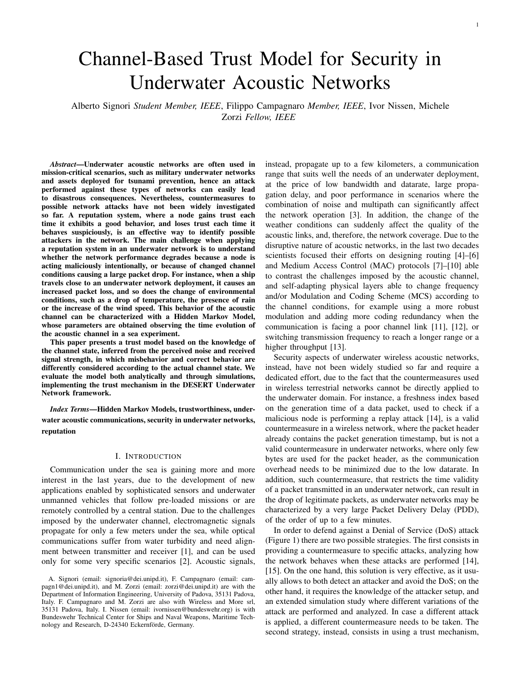

Fig. 1: Example of an underwater acoustic network, with nodes (green nodes) sending data to a sink (yellow node), while a malicious node (red node) tries to attack the network

based on the reputation of the nodes [16], [17], to identify whether or not a node can be expected to follow the protocol rules of the underwater network. Indeed, a trust mechanism can be applied whenever the definitions of correct behavior and misbehavior are stated precisely and can be detected through the overhearing of the packets. For instance, in a sinkhole attack the neighbors of a malicious node can mark it as untrustworthy if they do not overhear the correct forwarding of the packets, while in a replay attack a node is not trusted if it retransmits the same packet more times than expected by the protocol stack [18]. In the case of a spoofing attack, instead, if a node observes in a short amount of time the transmission of two packets with the same source node identifier but with a completely different received power (and/or SNR), it can suspect that an attacker is stealing the identity of a legitimate node and can mark this as a misbehavior. If it has already collected enough information about the legitimate node, it can also identify who is the attacker observing the received power and the channel impairments, otherwise it can still detect that there is an ongoing attack and notify this event to the other nodes in the network. While this strategy is limited to identifying the attacker rather than limiting its effect, its main advantage is that it can be applied to many different attacks, thus providing a general defense solution. For instance, a node marked as untrustworthy can be excluded from the packets' route, and the packets coming from that node can be discarded by the other nodes. In addition, the untrustworthy node can be localized via triangulation, and eventually removed from the network.

To infer the reputation, a node needs to observe the behavior of its neighbors by overhearing transmissions by the other nodes. This solution is widely used in terrestrial wireless networks, where a node can exploit the broadcast nature of the channel to understand the behavior of its neighbors, by overhearing the packets they transmit. This mechanism can be referred to as watchdog [19], implicit ack, or overhear forwarding mechanism. In this paper we present a trust mechanism for underwater networks, where we adapt approaches used in terrestrial wireless networks to the disruptive nature of the acoustic channel by using subjective logic [20] to take into consideration the uncertainty caused by the acoustic channel quality evolution. The use of subjective logic to provide a trust

measure for the nodes of a network has been already employed in terrestrial networks [16], [21], however the peculiarity of the acoustic channel poses a further challenge in the analysis of the node trust. Indeed, bursts of packet errors characterize acoustic communications due to the multipath, high delay spread and ambient noise of the acoustic channel. For these reasons the trust models designed for the terrestrial counterpart do not take into account channel measures to compute the reputation. On the other hand, other methods based on bayesian models, often employed to compute the trust in terrestrial networks [22], [23], are not applicable to underwater networks because they do not consider any link disruption caused by the variability of the acoustic channel. The risk of this approach is to estimate the reliability of the channel rather than the trustworthiness of a node.

The main contribution of this paper is the design of a trust module that provides a measure of trust of the one-hop neighbors. Our proposed framework is: *i)* general enough to deal with different types of attacks; *ii)* specifically tailored for underwater acoustic networks; *iii)* independent of the network topology and of the number of nodes joining the network. Indeed, as soon as the concepts of correct behavior and misbehavior are well defined, the model can be employed to discover different attacks, such as sinkhole and resource exhaustion. Moreover, the unique characteristics of the underwater acoustic channel are taken into account in the trust model by considering channel based metrics, such as noise and Signal to Noise Ratio (SNR), and modeling the acoustic channel variability with a Hidden Markov Model (HMM) [24]. The proposed system is evaluated both analytically and through simulations based on real field measurements, using the flooding network protocol in the DESERT Underwater network simulator [25]. The trust model can also be used in real-field applications such as in underwater acoustic networks employed for coast surveillance that make use of the Gossiping in Underwater Acoustic Mobile Ad-hoc Networks (GUWMANET) protocol [5], [18] specifically tailored for military networks. In this paper we focused on analyzing the feasibility of the trust model, assessing whether or not a node can make a decision on the trustworthiness of its neighbors based on its own observations. At this stage, we do not consider the possibility that a node shares its information with its neighbors. Although this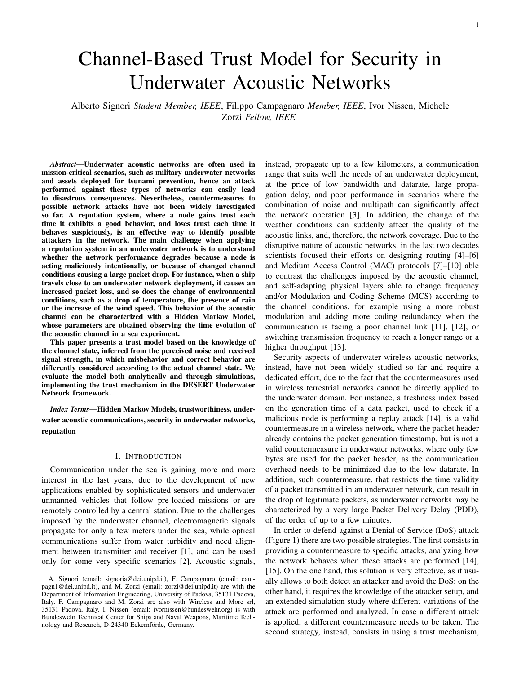could help avoid misdetections, it would also pose two main other challenges: sharing the information without increasing the overhead too much and avoiding the spreading of false information from malicious nodes. Thus we decided to leave this study for future works.

# II. RELATED WORK

Trust is a measure of the belief that a given subject will behave according to what is expected. This measure can be applied to many different fields [26], from sociology to science, academia, journalism, economics, medicine and, finally, wireless terrestrial and underwater networks, the last being the focus of this paper. The trust of a node can be based either on authentication certificates and cryptographic keys [27], or on a reputation-based system, the latter being more relevant to Mobile Ad Hoc Networks (MANET) [26]. Although lightweight authentication schemes for vehicular ad hoc networks exist [28]–[30], they usually rely on broadband communication links: this assumption is not applicable in underwater acoustic networks, where the characteristics of the acoustic channel, such as high latency and low datarate, can make the authentication process last several seconds or minutes, especially in case of congested networks or in case of retransmissions due to packet loss.

Also distributed blockchain-based authentication schemes [29] imply a high message overhead to distribute the information among the nodes; furthermore they are computationally demanding and may cause the battery depletion of underwater nodes. Many works in the literature propose a reputation-based system for terrestrial wireless networks [16], [17], [31], but only a few papers address the aspects of underwater acoustic networks, and most of them only propose a preliminary analysis [32], [33].

The authors in [31] demonstrate how a watchdog-based reputation system applied to the Ad-hoc On-demand Distance Vector (AODV) routing protocol in a wireless mesh network provides significant benefits in terms of network performance when the network is under attack. This reputation extension of the AODV protocol, called AODV-REX, has been tested against malicious nodes performing blackhole and grayhole attacks. The reputation of a node computed by one of its neighbors increases when it correctly forwards received packets according to the network protocol. Conversely, if this does not happen within a certain time interval, the reputation decreases. This observation can be performed by means of the watchdog mechanism, i.e., the neighbors of a node can overhear the packets it transmits even if these packets are not for them. The more interactions a node A performs with a node B, the more the reputation of B computed by A is considered solid. The reputation of a certain node is finally shared among the nodes of the network: the more the reputation values for that node differ, the less the node is trusted. While the watchdog mechanism can also be applied to our scenario, the proposed reputation system cannot be directly applied to underwater networks due to the disruptive nature of the acoustic channel and the overhead introduced by the signaling of the AODV-REX routing.

The authors in [16] propose an extension of the AODV routing protocol, called Trusted AODV (TAODV), where the trust of the nodes is performed using watchdog. The protocol has been designed for secure MANET. In this work, the trust among nodes is represented by opinion, which is an item derived from subjective logic. An opinion can be interpreted as a probability measure containing secondary uncertainty: specifically, a node may be uncertain about another node's trustworthiness because it does not collect enough evidence. For this reason, in subjective logic an opinion is modeled using belief, disbelief and uncertainty. Subjective logic is also used in the trustworthiness model presented in [17], where the authors used the uncertainty to model the error probability of the channel, that is assumed to be constant. They also use federated learning for distributed model training using local datasets from large-scale nodes, but this method applies well to terrestrial networks where large datasets can easily be collected by observing the traffic of cellular networks, rather than to acoustic networks where only a few network deployments can be observed in reality. Conversely, subjective logic can be applied to our security system, in order to model the case where the transmission of a forwarded packet is not observed due to adverse conditions of the acoustic channel rather than the intentional misbehavior of a node. We extended the model presented in [17] addressing the nature of the acoustic channel, where the error probability is not constant in time but changes during the day.

Sharing the trust metrics among nodes can help build a reputation system in a cooperative way. The drawback of this solution is that it is prone to attacks where the malicious node transmits wrong reputation scores of the other nodes, causing severe damage to the network. However, in [22] the authors prove that, as soon as all nodes share enough reputation information, the effect of a malicious node sharing wrong information on purpose is mitigated. A Bayesian approach is used to update the reputation, taking into account the possibility that the reputation value may be received from a malicious node. In their paper they also use a discount factor to weigh recently observed events more than events occurred in the past, thus addressing the case when a node changes its behavior after a certain amount of time.

Security aspects of underwater acoustic networks have been partially addressed, since only recently have researchers started focusing their work on these aspects. The simulation study in [33], for instance, uses trust in underwater networks to enhance location privacy rather than to detect intruders and malicious nodes. ITrust [32], instead, is an anomalyresilient trust model based on isolation forest for underwater acoustic sensor networks. ITrust is composed of two sequential stages: data fusion – by aggregating various trust metrics – and defective node detection through the trust model. The model has been evaluated via simulation, with the simplistic assumption that the acoustic noise power spectral density can be computed with the analytical formulas presented in [3].

Conversely, in our work we model the acoustic channel according to the statistics of sea trial measurements. Indeed, in the last fifteen years researchers [24], [34]–[36] demonstrated that the time evolution of underwater acoustic channels can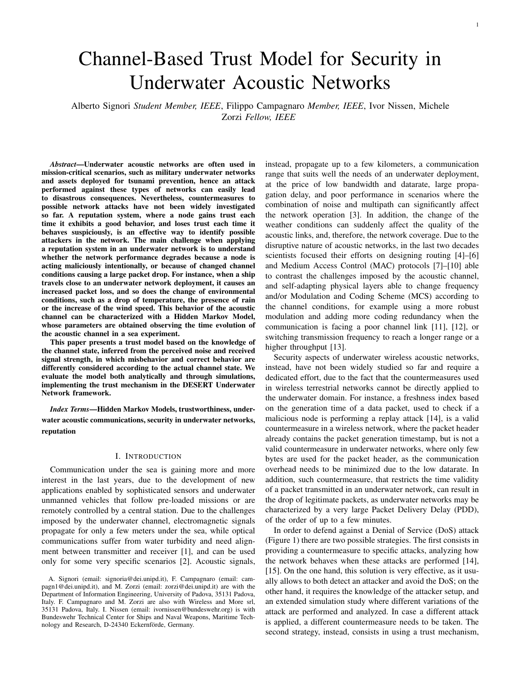be statistically well characterized with two- and four-state Markov models [37] and with a two-state HMM [38]. Specifically, in [35], they proved that a three state Markov model is a good candidate to describe the correlated underwater acoustic channel dynamics. More recently, in [36] a two-state Markov chain trained with the KAM'11 sea trial data [39] has been used to model the evolution of the acoustic channel. Finally, in [24] the authors demonstrated, using the SubNet'09 sea trial data [40], that an HMM is able to track well long term channel behaviors, outperforming both two- and four- state Markov models. The use of Markov models to characterize the behavior of the channel is well-known also in terrestrial networks [38], [41]–[43] where the transition probabilities from the states of the Markov Chain are usually obtained exploiting well-established statistical channel characterizations such as Rayleigh fading or Rician fading channel models [44]. In underwater acoustic networks, instead, there is no commonly accepted statistical model for the channel behavior, since the channel is strongly affected by the local environmental conditions of the network deployment. Therefore, in acoustic networks the parameters of the Markov model are often inferred from experimental measurements. An evaluation of the three Markov models (the two Markov models of [37] and the HMM of [38]) compared with sea trial measurements is presented in [24]. The discussion on which model best fits the experimental data is carried out considering relevant metrics for networking, i.e., packet error rate (PER), length of error bursts and correlation of errors after a given number of packet transmissions. Results show that HMMs yield an accurate reproduction of the channel metrics, tracking well long term channel behaviors. For this reason, we decided to model the acoustic channel with a two-state HMM.

## III. CHANNEL MODEL

Given the disruptive nature of the acoustic channel, where an acoustic link between two nodes may present only a small packet loss for several hours, then present a high packet loss for a few hours, and then return stable again, it is not trivial to understand when a drop of performance of an acoustic network is caused by a DoS attack or by bad channel conditions. The increase of packet loss can be caused by several factors [3], for example the increase of noise caused by a ship travelling close to the network deployment, by the presence of strong rain and wind, or by the presence of shadow zones caused by a temperature drop and the consequent change of sound speed profile [45].

In this work we characterize the acoustic channel quality evolution by using a two-state HMM, following the work presented in [24]. The trust model presented in this paper is built on top of the Markov channel model. In an HMM, the observable events stay on top of a non-observable structure, the Markov Chain (MC). The underlying, non-observable link model is a two-state MC that defines two states for the goodness of the channel, specifically a GOOD (g) and a BAD (b) state, collected in the set  $S = fg$ ; bg. The probability of receiving a transmitted packet is  $o_q$  in GOOD state, and  $o_b$  in



Fig. 2: Two-state MC.

BAD state, with  $o_q > o_b$ . The MC is described through the transition probability matrix  $\boldsymbol{P}$ 

$$
\boldsymbol{P} = \begin{array}{cc} P_{gg} & P_{gb} \\ P_{bg} & P_{bb} \end{array} \tag{1}
$$

where  $P_{ij}$  is the probability of moving from state *i* to state *j* in one step, with  $i, j \geq S$ . Figure 2 shows the two-state MC, where  $P_{bb} = 1$   $P_{bg}$  and  $P_{gg} = 1$   $P_{gb}$ .

The *n*-step transition matrix  $P<sup>n</sup>$ , can be computed as described in [46]

$$
P^{n} = \frac{1}{P_{gb} + P_{bg}} \begin{bmatrix} P_{bg} & P_{gb} \\ P_{bg} & P_{gb} \\ + \frac{(1 \quad P_{gb} \quad P_{bg})^{n}}{P_{gb} + P_{bg}} & P_{bg} & P_{bg} \\ \end{bmatrix} \tag{2}
$$

with  $n$  the number of steps after which the system described by the MC is observed again. We denote the state visited at step n as  $X_n = s$  2 S. The steady state probability vector  $\pi =$  $\begin{bmatrix} q^t & b \end{bmatrix}$ , with  $q^+$   $\begin{bmatrix} b \\ -b \end{bmatrix}$ , does not depend on the initial state, and can be computed from the transition probability matrix, specifically,

$$
\begin{array}{ccccc}\n1 & g & b & = \lim_{n \to \infty} P^n = \frac{1}{P_{gb} + P_{bg}} & P_{bg} & P_{gb} & (3) \\
\end{array}
$$

where the last equality holds because  $1 \quad P_{gb} \quad P_{bg}$  is smaller than 1 and therefore the second term in Equation (2) goes to 0, thus obtaining  $b = \frac{P_{gb}}{P_{cb} + P_{cb}}$  $\frac{P_{gb}}{P_{gb}+P_{bg}}$  and  $g = \frac{P_{bg}}{P_{gb}+P_{bg}}$  $\frac{P_{bg}}{P_{gb}+P_{bg}}$ .  $P_{gb}$  $P_{bg}$ ,  $O_g$  and  $O_b$  can be either set manually, in order to study the system in a synthetic channel, or obtained from sea trial measurements [24].

## IV. TRUST MODELS

#### *A. Subjective Logic*

The trust model presented in this paper is based on the observation of the behavior of the neighbors, through the so called watchdog mechanism. In general, when a node of the network receives a packet, it needs to perform a task. For example, if node A sends a packet to node B, and B is not the final destination, B could be required to forward that packet either once or several times, depending on the routing protocol used in the network stack. The packet forwarded by B will be overheard by all of B's neighbors, including A. From A's point of view, B's task will be correctly accomplished if A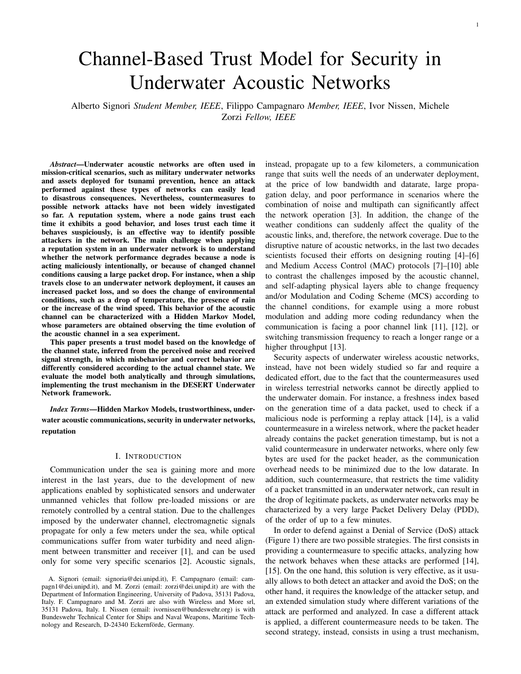overhears B's packet, or result in a misbehavior if A does not. Depending on the running protocols and applications, tasks can be different, from the forwarding of a single packet, to the transmission of a series of packets whose number and inter-transmission times depend on the running application. Independently of the task, the final result will always be a decision by node A about whether B's action corresponds to a correct behavior (C) or a misbehavior (M). In this work, a misbehavior is defined as the observation (or the lack of an observation) by a node about an action from the neighbor not compliant with the protocol rules, regardless of whether the action was intentionally carried out by the neighbor or caused by bad channel conditions. For example, if a neighbor is required to forward a packet and the node does not overhear its neighbor's transmission, this will be considered as a misbehavior regardless of whether the packet was intentionally dropped by the neighbor or it was actually transmitted by the neighbor but not overheard by the node because of bad channel condition. The goal of the trust model is to be able to distinguish between intentional misbehavior and unintended misbehavior caused by channel loss that in principle are not discernible by the overhearing node. The model can be applied in networks with tethered nodes as well as networks with non-tethered nodes. While in the former scenario the network nodes have almost fixed position, so that the topology does not change over time, in the latter the nodes slowly drift during time. As long as the nodes remain within transmission range, the node drifting is captured by the dynamics of the channel quality metrics used to determine the channel state (GOOD or BAD) employed in the trust model. In addition, if a new node A comes into B's transmission range because of drifting, B starts to compute A's trustworthiness as for the other nodes, as soon as the node is detected as a new neighbor (and vice versa). In our scenario we do not consider mobile nodes, such as Autonomous Underwater Vehicles (AUVs), leaving the study of this type of scenario for future works.

In an underwater environment, directly applying the output of the watchdog mechanism to compute the trustworthiness of a node could cause misleading conclusions due to the variability of the channel described in Section III. Indeed, a result purely based on the observation of a neighbor without any distinction on the channel quality could lead to a judgement related to the channel quality rather than to the actual node behavior.

In our model, we distinguish when a certain behavior occurs in GOOD and BAD channel state, weighing the two cases differently to obtain an opinion about the node's behavior according to subjective logic [20]. Considering the channel model described in Section III, we model the behavior of a neighbor node through an HMM in which the observable events are the correct behavior (C) or the misbehavior (M) of a node and we denote this set as  $E = fC/Mg$ . For each state s  $2 \text{ S}$  and each observable event  $e$   $2 \text{ E}$ , the probability of observing the event  $e$  in state  $s$  is defined as  $o_s(e)$ , with the constraint  $\int_{e^2 \in \mathcal{E}} \rho_s(e) = 1$  for each value of s 2 S. We emphasize that for a well behaving node, the values of  $o_s(M)$  and  $o_s(C)$  are related to the probability of not overhearing the packet transmitted by the neighbor, and therefore depend on the packet error probability. Consider as an example a node that has to forward a packet due to the routing protocol rules:  $o<sub>q</sub>(C)$  is the probability of overhearing a packet transmitted by a legitimate forwarding node in GOOD channel conditions, and  $o_b(C)$  is the probability of overhearing a packet transmitted by a legitimate forwarding node in BAD channel conditions.

To compute the trustworthiness of a node we use subjective logic. Subjective logic deals with uncertainty and can be used to represent an *opinion* about a given statement (in our case whether a node can be trusted or not). The opinion is defined as the tuple  $\mathbf{o} = f\mathbf{b}$ ; d; ug, where  $\mathbf{b}$ ; d; u 2 [0; 1] and  $\mathbf{b} + \mathbf{d} + \mathbf{u} =$ 1. Specifically, the three terms refer to belief, disbelief and uncertainty, respectively. The main idea is to update belief, disbelief and uncertainty based on the outcome, i.e., a correct behavior or a misbehaviors, of the analyzed nodes. The opinion depends on the number of misbehaviors  $m = m_b + m_q$  and correct behaviors  $c = c_b + c_g$ , where  $m_i$  and  $c_i$  with  $i \geq S$  are the number of correct behaviors and misbehaviors observed by a node in channel state *i*. Belief, disbelief and uncertainty can be computed as:

$$
\sum_{\substack{m=1 \ n \text{ odd}}}^{\infty} b = \frac{w_{cg}c_g + w_{cb}c_b}{c + m}
$$
\n
$$
\sum_{\substack{m=1 \ n \text{ odd}}}^{\infty} d = \frac{w_{mg}m_g + w_{mb}m_b}{c + m}
$$
\n
$$
\sum_{\substack{m=1 \ n \text{ odd}}}^{\infty} u = \frac{(1 - w_{cg})c_g + (1 - w_{cb})c_b}{c + m} + \frac{(1 - w_{mb})m_b}{c + m}
$$
\n(4)

where  $w_{ij}$  2 [0;1] 8i 2 fM; Cg 8j 2 fb; gg are the weights to use for a correct behavior (C) or a misbehavior (M) in a GOOD (G) or a BAD (B) channel state.

In addition, the weights used to compute belief, disbelief and uncertainty can be composed by a fixed part, decided a priori, and a variable part that takes into account the trend of the behaviors of the neighbor to adjust the overall weights for correct behaviors and misbehaviors. Specifically, the weights related to a misbehavior, in both GOOD and BAD channel, are defined as

$$
W_{mi} = W_{mi} + (1) W_{var} \qquad i \, 2 \, g; b; \tag{5}
$$

where  $W_{\text{var}}$  is a function of the behaviors of a neighbor, whose goal is to grasp some signs about anomalous behavior (e.g., number of misbehaviors in GOOD channel higher than number of misbehaviors in BAD channel) that could be the manifestation of a misbehaving node, and therefore to penalize that neighbor increasing the weight for each misbehavior. Similarly, the weights for the correct behavior, in both GOOD and BAD channel, can be defined as

$$
W_{ci} = W_{ci} + (1) (1 W_{var}) i 2 g/b: (6)
$$

## *B. Trustworthiness*

We define a random variable  $T$  to describe whether a node is trustworthy ( $T = 1$ ) or not ( $T = 0$ ). Based on subjective logic and on the trust model described in Section IV-A, we can decide if a node is trustworthy by observing belief,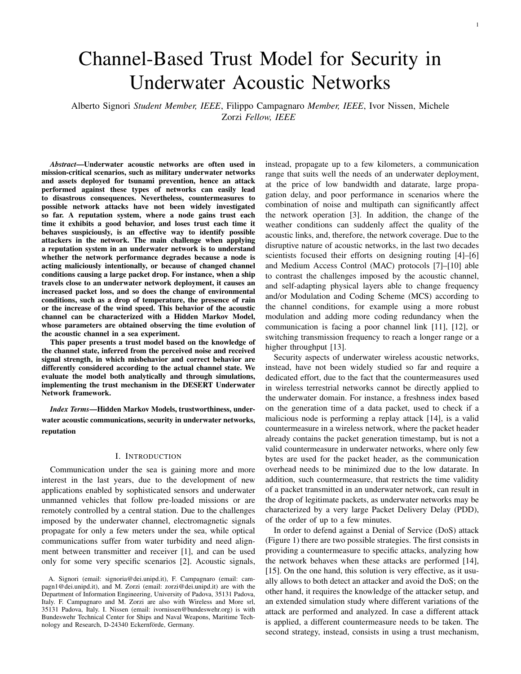disbelief and uncertainty. These three values can be differently combined to infer trustworthiness, e.g., by considering in different ways the role of the uncertainty. For example, in the following we will use

T = 1 if b + u > d + (1 )u T = 0 otherwise; (7)

with  $2$  [0;1]. Based on the HMM we can compute the probability that a node is considered trustworthy after  $N_t$ observations. We compute

$$
P[T = 1 j N_t] = P[b + u > d + (1) u j N_t]. \tag{8}
$$

We define M as the set of all the  $m_q$  values for which  $T = 1$ , for a given number of misbehaviors in BAD channel and for a given number of visits to the BAD state  $(N_b)$ 

$$
\mathcal{M} = f m_g : b + u > d + (1) ug \tag{9}
$$

We remember that the number of visits to the GOOD state  $(N_g)$  can be obtained from the equation  $N_t = N_b + N_g$ , and that  $N_s = m_s + c_s$  with  $s \geq S$ .

The probability in Equation (8) can be computed by conditioning on the number of misbehaviors in the BAD channel  $m_b$  and on the number of visits either to the GOOD state ( $N_q$ ) or to the BAD state  $(N_b)$ .

$$
P[T = 1 j N_t] = \frac{\mathcal{R}^{t} \mathcal{R}^{b} \times P m_g N_t; m_b; N_b}{N_{b=0} m_b = 0 m_g 2M}
$$
  
\n
$$
P m_b j N_b; N_t P N_b j N_t : (10)
$$

where  $m_g$  and  $m_b$  follow a binomial distribution:  $m_g$  $\text{Bin}(N_q; o_q(M))$  and  $m_b$   $\text{Bin}(N_b; o_b(M))$ , respectively. Therefore, the trust probability becomes

$$
P[T = 1 \, j \, N_t] = \frac{\mathcal{R}^{t} \, \mathcal{R}^{b} \times N_t}{N_{b=0 \, m_b=0 \, m_g 2 \, \mathcal{M}} \, j} \, \frac{N_t}{N_{b} \, o_g(M)^i}
$$
\n
$$
(1 \, o_g(M))^{(N_t \, N_b \, i))} \, \frac{N_b}{m_b} \, o_b(M)^{m_b}
$$
\n
$$
(1 \, o_b(M))^{(N_b \, m_b)} P \, N_b \, j \, N_t \, : \qquad (1)
$$

.)

The last step is to compute the probability of visiting the BAD state  $N_b$  times, in a given number of steps  $N_t$ (or equivalently the number of visits in the GOOD state). We define  $s(k; n) = P[k \text{ visits to B in } n \text{ steps } j \text{ X}_0 = s]$ as the probability of visiting  $k$  times the BAD state in  $n$ steps, given that we start in the initial state  $s \geq S$ . We can recursively compute  $s(k; n)$  exploiting the properties of a MC by conditioning on the first step

$$
g(k; n) = P_{gg} g(k; n \quad 1) + P_{gb} b(k; n \quad 1)
$$
  

$$
b(k; n) = P_{bg} g(k \quad 1; n \quad 1) + P_{bb} b(k \quad 1; n \quad 1);
$$
  
(12)

with the initial conditions  $s(0, 0) = 1$  and  $s(k, n) = 0$  if  $k > n$ , with  $s \geq S$ . In the first row only the number of steps is decreased because, starting from the GOOD state, there is no visit to the BAD state in the first step. On the other hand, in the second row, given that we start from the BAD state both the number of remaining visits and the number of steps are decreased by one. Finally,  $P[N_b / N_t]$  can be computed as

$$
P[N_b \, j \, N_t] = g \, g(N_b; N_t) + b \, b(N_b; N_t) \tag{13}
$$

#### *C. Variable weights*

To compute the set  $M$  for which the node is considered trustworthy, we need to define  $W_{Var}$ . If we consider a scenario with both GOOD and BAD channel states, we define  $W_{Var}$  as a function of the estimated misbehavior probability in GOOD and BAD channel,  $p_{m;q} = m_q = N_q$  and  $p_{m;b} = m_b = N_b$ , respectively. A GOOD channel should be characterized by a small number of misbehaviors, while in BAD channel misbehaviors are more likely to be observed due to the higher packet error rate. Comparing the misbehavior rate in GOOD and BAD channel, we can gain some insight about the behavior of the neighbor. Indeed, a number of misbehaviors in the GOOD channel comparable or even higher than the number of misbehaviors in the BAD channel could be the manifestation of an attacking node, and therefore the weights for the misbehavior should be increased, while the weight for the correct behavior should be decreased. We define

$$
w_{var} = \frac{2\rho_{m:g}}{\rho_{m:g} + \rho_{m;b}} \qquad \text{if } \rho_{m:g} < \rho_{m;b} \tag{14}
$$
  

$$
w_{var} = 1 \qquad \text{otherwise.}
$$

Using this definition,  $W_{Var}$  is equal to 1 when the misbehaviors in GOOD channel are much higher than the misbehaviors in the BAD channel, and close to 0 when there are only few misbehaviors in GOOD channel as would be expected by a node behaving normally. This definition needs to be slightly modified for those scenarios in which the channel quality is favorable, and thus the channel always remains in GOOD state (i.e.,  $N_b = 0$ ). In this case, since  $p_{m,b}$  cannot be computed, we consider a target value equal to 0:5, therefore the definition becomes:

$$
w_{var} = \frac{2p_g}{p_g + 0.5}
$$
 if  $p_g < 0.5$   
\n
$$
w_{var} = 1
$$
 otherwise. (15)

The last step is to find the set  $M$ , i.e., the number of misbehaviors in GOOD channel for which the node can be trusted, by solving the inequality

$$
b + u > d + (1) u: \qquad (16)
$$

Substituting the expressions for belief and disbelief defined in Equation (4), remembering that  $u = 1$  b d, and considering that  $c_s = N_s$   $m_s$  with s 2 S, we obtain the following inequality

$$
m_g((1 \t)w_{cg} + w_{mg}) + m_b((1 \t)w_{cb} + w_{mb}) <
$$
  
(1 \t)w\_{cb}N\_b + (1 \t)w\_{cg}N\_g N\_t(1=2 ) (17)

In addition, we assume equal weights for the correct behaviors with GOOD and BAD channel, i.e.,  $W_{cb} = W_{cg} = W_c$  and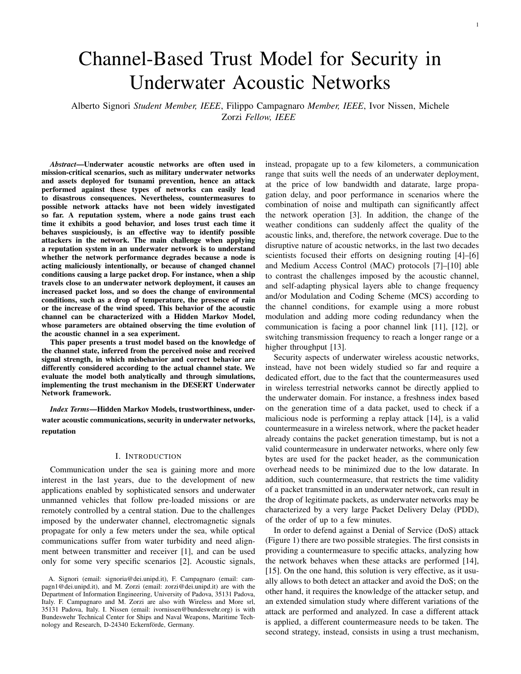therefore  $W_{cb} = W_{cq} = W_c$ . Considering that  $N_t = N_q + N_b$ , the inequality becomes

$$
m_g((1 \t)w_c + w_{mg}) + m_b((1 \t)w_c + w_{mb}) <
$$
  

$$
N_t((1 \t)w_c + 1=2)
$$
 (18)

Substituting Equations (5) and (6) in the previous inequality, we obtain

$$
a_g m_g + a_b m_b + k_1 w_{var}(m_g + m_b) + k_2 w_{var} \quad k_3 < 0 \tag{19}
$$

with the coefficients defined as

$$
a_g = ((1) w_c + w_{mg}) + (1) (1)
$$
  
\n
$$
a_b = ((1) w_c + w_{mb}) + (1) (1)
$$
  
\n
$$
k_1 = (1) (2 1)
$$
  
\n
$$
k_2 = N_t (1) (1)
$$
  
\n
$$
k_3 = N_t (1 - 1 = 2 + (1) w_c + (1) (1))
$$
  
\n(20)

The last step is to substitute the value of  $W_{Var}$  in the two cases as defined in Equation (14),  $p_{m;q} < p_{m;b}$  and  $p_{m;q}$   $p_{m;b}$ , obtaining

$$
c_1 m_g^2 + c_2 m_g + c_3 < 0 \tag{21}
$$

with

$$
c_1 = \frac{a_g + 2k_1}{N_g}
$$
  
\n
$$
c_2 = a_g p_{m,b} + \frac{2k_1 m_b + 2k_2 + a_b m_b k_3}{N_g}
$$
 (22)  
\n
$$
c_3 = a_b m_b k_3
$$

with  $p_{m;q} < p_{m;b}$ , and

$$
m_g < \frac{k_3 \quad k_2 \quad m_b(a_b + k_1)}{a_g + k_1} \tag{23}
$$

with  $p_{m;q}$  p<sub>m;b</sub>. This inequality holds for the general case with both GOOD and BAD channel. If we consider the case with only GOOD channel, the solutions can be obtained by substituting  $N_b = 0$  (and therefore  $m_b = 0$ ) and  $p_{m:b} = 0.5$ .

In addition to variable weights, in principle also different values of could be used for different scenarios. As an example, where the channel remains always in the GOOD state  $(N_b = 0)$  the role of uncertainty would be different since less uncertainty is expected from a node experiencing good channel condition. In such a scenario could be set to a low value (or at least lower than in the general case with both GOOD and BAD channel condition), to help discover malicious nodes performing weaker attacks (e.g., not performing the intended task only occasionally).

#### *D. Malicious node*

In the case of a malicious node the trust model remains the same, with the only exception of the probability of behaving correctly or maliciously. An attacker intentionally acts to damage the network, therefore the probability of misbehaving is not only related to the channel quality but also to the strength and type of attack the node is going to perform. If we consider a malicious node that performs an attack not accomplishing intentionally its task with a given probability  $p_d$ , e.g., does not forward the packet according to the protocol rules, the probability of behaving correctly becomes

$$
\theta_{\rm S}(C) = \theta_{\rm S}(C)(1 - p_d) \qquad \text{8s } 2 \text{ S} \tag{24}
$$

and therefore, the probability of misbehaving is

$$
\theta_{\rm S}(M) = 1 \quad \theta_{\rm S}(C) \qquad \text{8S } 2 \text{ S} \tag{25}
$$

By substituting  $o_s(M)$  with  $o_s(M)$  in Equation (11) we obtain the trust probability of an attacker acting maliciously with probability  $p_d$ .

#### V. SCENARIO DESCRIPTION AND PARAMETER SETTINGS

We analyze the trust model, both through an analytical formulation based on HMM and through simulation with the DESERT Underwater Network simulator [25].

The HMM described in Section III is characterized by the transition probabilities  $P_{gg} = 0.87$  and  $P_{bb} = 0.72$ . For the theoretical analysis we compare the results with different probabilities of observing a misbehavior  $(\mathcal{O}_S(M))$  or a correct behavior  $(o_s(C))$  for each channel state s 2 S, which correspond to different channel qualities experienced by a node. We assess the trust probability of both a normal node and a malicious node performing attacks of different strength, i.e., with different values of  $p_d$ . In the scenario with GOOD and BAD channel states we assume a value of

= 0:7, meaning that uncertainty is mostly considered as part of the trustworthiness of the node. In the scenario with only GOOD channel state we consider  $= 0$ , therefore the uncertainty computed with the subjective logic is considered as the sign of an untrustworthy node. Indeed, in this second case, the channel condition is favorable and in principle the possibility of observing a misbehavior is lower, therefore each misbehavior needs to be carefully taken into account in the trust model. A value of  $= 0$  allows us to better detect attackers in such a scenario.

As a second step we test the trust model in an underwater network. We assess our model in topologies similar to the one depicted in Figure 3. Specifically, the network is composed by 10 nodes, 9 of them generating data and sending it to the sink placed in the center of the network using flooding as the routing protocol. Each node receiving a packet and running the flooding protocol is expected to forward the data to all its neighbors, until reaching the sink node. At the beginning of the mission the count of correct behaviors and misbehaviors is set to 0, and is updated during the mission. When a node overhears the packet forwarded by the neighbor a correct behavior is considered, while if the forwarding is not overheard within a predefined time interval a misbehavior is counted. We remark that the observed misbehaviors can in principle be either intentionally caused by an attacker, or unintended due to the channel condition. The count of correct behaviors and misbehaviors will be used to compute the trust of a node considering Equations (4) and (7). To test our trust model we select one of the nodes close to the sink to act as the attacker. Specifically, the attacker does not always forward the packets received from its neighbor, but drops them with a given probability  $p_d$ . In the network simulator the channel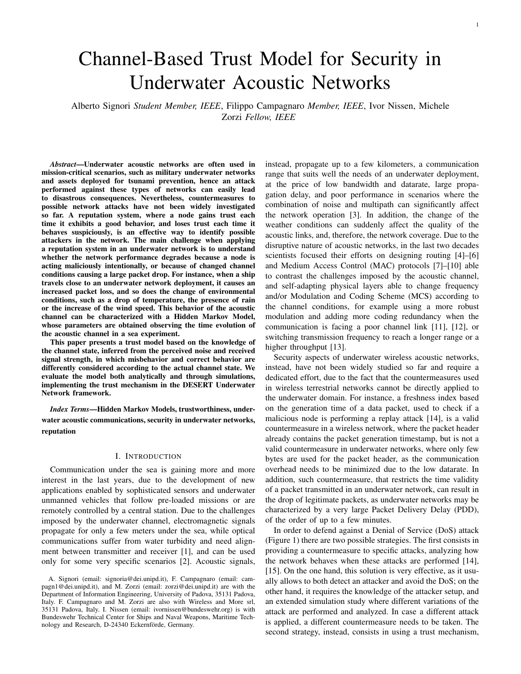

Fig. 3: Example of topology with normal nodes (blue circles), attacker (red square) and sink node (black circle).

state is obtained by looking at the Signal to Interference plus Noise Ratio (SINR) of each received packet or at the noise level when the node does not overhear the forwarding of a packet by one of its neighbors. We use two thresholds to detect the channel state, one for the transition from GOOD state to BAD state  $S_{th/q}$ , and the second one for the transition from BAD state to GOOD state  $S_{th,b}$ . The hysteresis is useful to avoid continuous jumps from one state to the other with small changes in the SINR value. In our scenario we set  $S_{th;g} = 6.3$  dB and  $S_{th;b} = 7$  dB. In an actual deployment, mathematical analysis can be performed before the mission to choose the SINR threshold used to define GOOD and BAD channel states. The goal is to set the threshold based on the performance, in terms of false detection and correct detection probabilities, that best suits the mission needs. The SINR threshold can be retrieved from the correct reception probabilities in GOOD and BAD state which can be easily varied in the mathematical analysis. 400)<br> **Example of notices** of the solution of the case of notices of notices of notices of notices of notices of notices of notices of trusting the probability of notices of the attacker (a node of notices of notices) an

To simulate the behavior of a two-state channel model as that described in Section III, in the simulator we use the Urick propagation model [45], changing the noise level every  $T = 180$  s between two values, according to the transition probabilities of a MC. For consistency, we set the same transition probabilities used in the theoretical analysis.

In the simulated scenario, each node generates a packet of 24 Bytes every 100 s, on average. The transmission power is equal to  $P_{tx}$  = 180 dB re Pa, the central frequency used for the transmission is  $f_0 = 26$  kHz and the bandwidth is  $B = 16$  kHz.

#### VI. RESULTS

# *A. Analytical results*

In this Section we present the results obtained from the theoretical trust model described in Section IV. We compute the probability of correct detection for a malicious node,



Fig. 4: (a) correct detection and (b) false detection probabilities as a function of the correct behavior probability for GOOD channel scenario.

 $p_d > 0$ ), and the probability of false detection, i.e., the probability of not trusting a correctly behaving node (with  $p_d = 0$ ), after  $N_t = 150$  steps. We computed the correct detection and false detection probabilities in two different scenarios: the first one in which the channel always remains in GOOD state, with the goal of analyzing the trustworthiness of a node under very favorable channel conditions, the second one with a more general behavior where both GOOD and BAD channel states are considered.

Figures 4a and 4b show the correct detection and false detection probabilities in the scenario with only GOOD channel. The analysis has been carried out as a function of the probability of observing a correct behavior  $O_q(C)$  (that is related to the packet delivery ratio) in a GOOD channel state and considering different attack strengths (i.e., different probabilities  $p_d$  of intentional misbehavior). For each analyzed channel quality, an attacker behaving intentionally maliciously with a probability of performing an attack of  $p_d$  0:3 can be easily identified and marked as an untrustworthy node. However, when the correct behavior probability  $o_q(C)$  drops to 0:75, the false detection probability rapidly increases to 0:5, meaning that well behaving nodes are marked as untrustworthy half of the time. This is due to the fact that  $= 0$  is used in the case of only GOOD channel state, as stated in Section V. This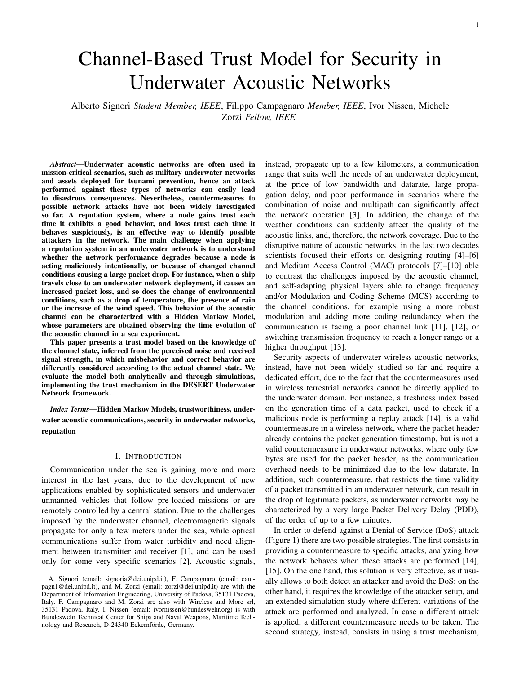

Fig. 5: (a) correct detection and (b) false detection probabilities as a function of the correct behavior probability for GOOD and BAD channel scenario

setting indeed highly penalizes misbehaviors since uncertainty will be only summed to disbelief in Equation  $(7)$ .

The performance improves if the packet reception probability is higher, as is expected for this particular scenario with only GOOD channel conditions. Indeed, for better channel conditions the false detection probability remains lower than 0.1 and even close to 0 for a correct behavior probability less than or equal to 0:85.

Figures 5a and 5b show the correct detection and false detection probabilities in the scenario with both GOOD and BAD channel. The analysis has been performed as a function of the correct behavior probabilities in both GOOD and BAD channel  $[o_q(C)/o_b(C)]$ , and considering different attack strengths  $p_d$ . In this scenario, since the channel quality is lower than in the previous scenario with only GOOD channel, the detection of attackers with a low  $p_d$  becomes more difficult. Indeed, when  $p_d$  0.5 the attacker is always detected after 150 steps, while for  $p_d$  0.3 the correct detection depends on the channel quality. An increasing error probability due to channel losses seems to help in detecting attackers with lower strength. This is also followed by an increment of the false detection probability (Figure 5b), however the increment in the false detection probability in our scenario is limited when  $o_q(C) = 0.6$  and always remains lower than 0.2.

#### *B. Simulation results*

In this Section we present the results obtained through simulation of the scenario described in Section V. We assessed the trustworthiness of the nodes, considering 50 runs for each of the 20 analyzed topologies, similar to that presented in Figure 3. Specifically, we considered the trust computed by each node in the most external set with respect to its neighbor closer to the sink. Figures 6a and 6b show the correct detection (for an attacker) and false detection (for a normal node) probabilities as a function of the number of transmitted packets and for different drop probabilities  $p_d$ , taking into account the results obtained for each run and each topology. Figure 6a shows the same trend observed with the theoretical results. We want to highlight that, depending on the topologies and thus on the actual distance between neighbors, the performance takes into account both nodes with favorable conditions (i.e., with only GOOD channel) and nodes with more unfavorable conditions (i.e., nodes that alternate GOOD and BAD channel states). For a drop probability  $p_d = 0.2$ , the system cannot easily identify an attacker because the drops caused intentionally by the malicious node can be confused with the losses caused by bad channel conditions or collisions with other transmissions. With  $p_d$  0:3 the overall performance improves, going from a correct detection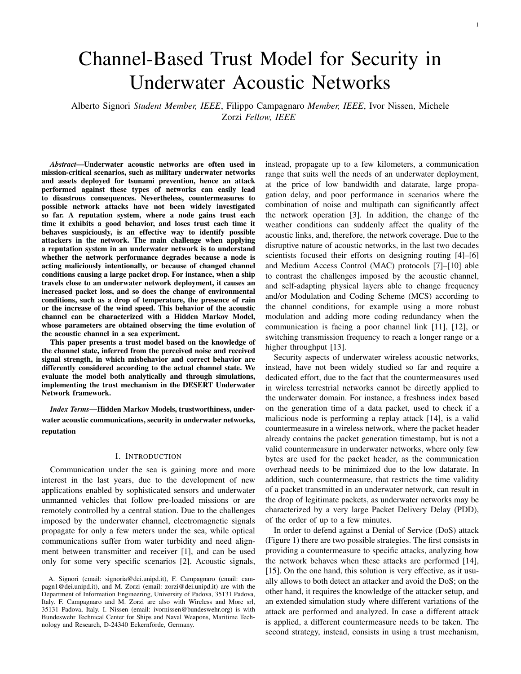

Fig. 6: (a) correct detection and (b) false detection probabilities as a function of the number of transmitted packets and for different attack strength  $p_d$ .

probability of 0.7 with  $p_d = 0.3$  to a detection of almost 100% with  $p_d$  0.5. On the other hand, Figure 6b shows the estimated false detection probability for a normal node as a function of the number of transmitted packets. As expected, the result does not depend on the drop probability  $p_d$  of the attacker. The false detection probability is close to 0.2 at the very beginning of the simulations, when few packets have been exchanged, while it decreases to 0:05 when more information becomes available. In addition, we can observe that the correct detection probability rapidly converges within 60 transmitted packets. With this fast convergence shown in the results, slow environmental condition changes, for example caused by daynight or tidal cycles, will have little effect on the trust model not causing the trustworthiness value to continuously change within short periods.

As mentioned before, this analysis considers all topologies, therefore it takes into account different channel qualities for both attackers and normal nodes. For a better understanding of the behavior of the trust model for different simulated channel qualities, we plot the estimated correct and false detection



Fig. 7: (a) SNR and (b) probability of observing a correct behavior as a function of the distances for low (blue) and high (red) noise level.

probabilities at the end of the simulation as a function of the distance between the node and its neighbors. Figures 7a and 7b are showing the SNR experienced by a node as a function of the distance for low and high noise level and the probability of observing a correct behavior from the neighbor based on the channel, respectively. Since different distances correspond to different channel qualities, this allows us to understand the behavior of the trust model for different channels. Figures 8a and 8b depict the estimated correct and false detection probabilities, respectively. According to the propagation model used in the simulator, a node placed at a distance lower than 3 km is always in GOOD channel, since the SNR is higher than the threshold  $S_{th;g}$ . In this scenario the trend obtained for the correct detection is similar to the trend observed with the analytical results with always GOOD channel condition (Figure 4a), where an attacker with  $p_d$  0.3 is correctly detected with a probability close to 1. Considering  $p_d = 0.2$ , the correct detection probability is very low for closer nodes,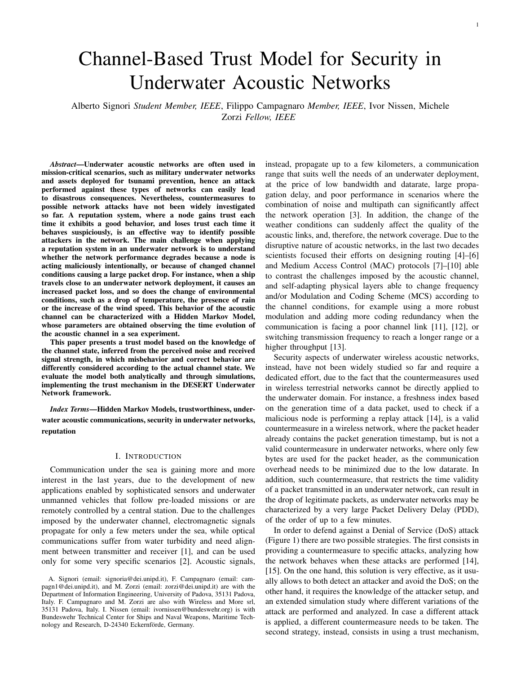

Fig. 8: (a) correct detection and (b) false detection probabilities as a function of the number of transmitted packets and for different attack strength  $p_d$ .

but increases as the distance increases because the packet losses due to channel errors help in the attacker identification. At the same time, for a distance lower than 3 km the false detection probability is close to 0, meaning that the normal nodes are not wrongly marked as attackers. Nodes within a range of 3 to 3:1 km can experience both situations, i.e., either always GOOD channel condition or both GOOD and BAD channel. In this case attackers dropping packets with  $p_d$  0.5 are always correctly detected, while for an attack strength of  $p_d$  = 0.2 and  $p_d$  = 0.3 the correct detection probability is 0.7. In this range of distances the false detection probabilities increase up to 0:2, due to those nodes that are always in GOOD channel conditions but with an increased packet error rate. When the distance is bigger than 3:1 km the nodes always experience both GOOD and BAD channel conditions. Also in this case the trend for correct detection and false detection is similar to what observed in the theoretical analysis. For the considered distances, a lower attack strength is more difficult to detect, therefore the correct detection probability with  $p_d$  0.3 is lower than 0.5, while it remains close to 1 for  $p_d$  0.5. In this situation the estimated false detection probability is close to 0.

### VII. CONCLUSIONS

In this paper we presented a trust model for underwater acoustic networks to detect suspicious behaviors of possible attackers. The main problem in acoustic communication is to understand whether a misbehavior is due to channel loss conditions or to a malicious behavior. The dynamic quality of an acoustic channel can be described through a two-state HMM and we exploited this characteristic to weigh differently misbehaviors in GOOD and BAD channel conditions. We analyzed the trust model both analytically and through simulations. Specifically, we computed the correct detection and false detection probabilities for different attack strengths  $p_d$ , observing that when  $p_d$  0.5 the malicious node is always detected, while for lower values of  $p_d$  in scenarios with both GOOD and BAD channel states the detection is more challenging since the intentional misbehavior is difficult to distinguish from a misbehavior caused by a channel drop. If the channel quality is more favorable, i.e., with only GOOD channel, even a value of  $p_d = 0.3$  can be detected. The simulations of the trust model with the flooding routing protocols confirm the same trend observed with the analytical results.

As future work, we will extend the trust model by letting nodes exchange information about their trust level of a node, thus combining local information with the received information and obtain a more accurate result. In addition, we will design and evaluate countermeasures to exclude the attacker from the network which will exploit the trust model as a base for the detection of malicious nodes, and evaluate the trust model in a scenario composed of both fixed and mobile nodes.

#### ACKNOWLEDGMENT

This work has been partially supported and funded by the Bundeswehr Technical Center for Ships and Naval Weapons, Maritime Technology and Research, (contract 728053 - E/E71S/K1291CF081), and by the European Union - FSE REACT EU, PON Research and Innovation 2014-2020 (DM 1062/2021).

#### **REFERENCES**

- [1] F. Campagnaro, R. Francescon, P. Casari, R. Diamant, and M. Zorzi, "Multimodal underwater networks: Recent advances and a look ahead," in *Proc. ACM WUWNet*, Halifax, Canada, Nov. 2017.
- [2] F. Campagnaro, A. Signori, and M. Zorzi, "Wireless remote control for underwater vehicles," *MDPI Journal of Marine Science Engineering*, vol. 8, no. 4, p. 55, Oct. 2019.
- [3] M. Stojanovic, "On the relationship between capacity and distance in an underwater acoustic communication channel," *ACM Mobile Comput. and Commun. Review*, vol. 11, no. 4, pp. 34–43, Oct. 2007.
- [4] G. Toso, R. Masiero, P. Casari, O. Kebkal, M. Komar, and M. Zorzi, "Field experiments for dynamic source routing: S2C evologics modems run the SUN protocol using the DESERT Underwater libraries," in *Proc. MTS/IEEE OCEANS*, Hampton Roads, VA, Oct. 2012.
- [5] M. Goetz and I. Nissen, "GUWMANET multicast routing in underwater acoustic networks," in *Military Communications and Information Systems Conference (MCC)*, 2012.
- [6] R. Diamant, P. Casari, F. Campagnaro, O. Kebkal, V. Kebkal, and M. Zorzi, "Fair and throughput-optimal routing in multimodal underwater networks," *IEEE Trans. Wireless Commun.*, vol. 17, no. 3, pp. 1738–1754, Mar. 2018.